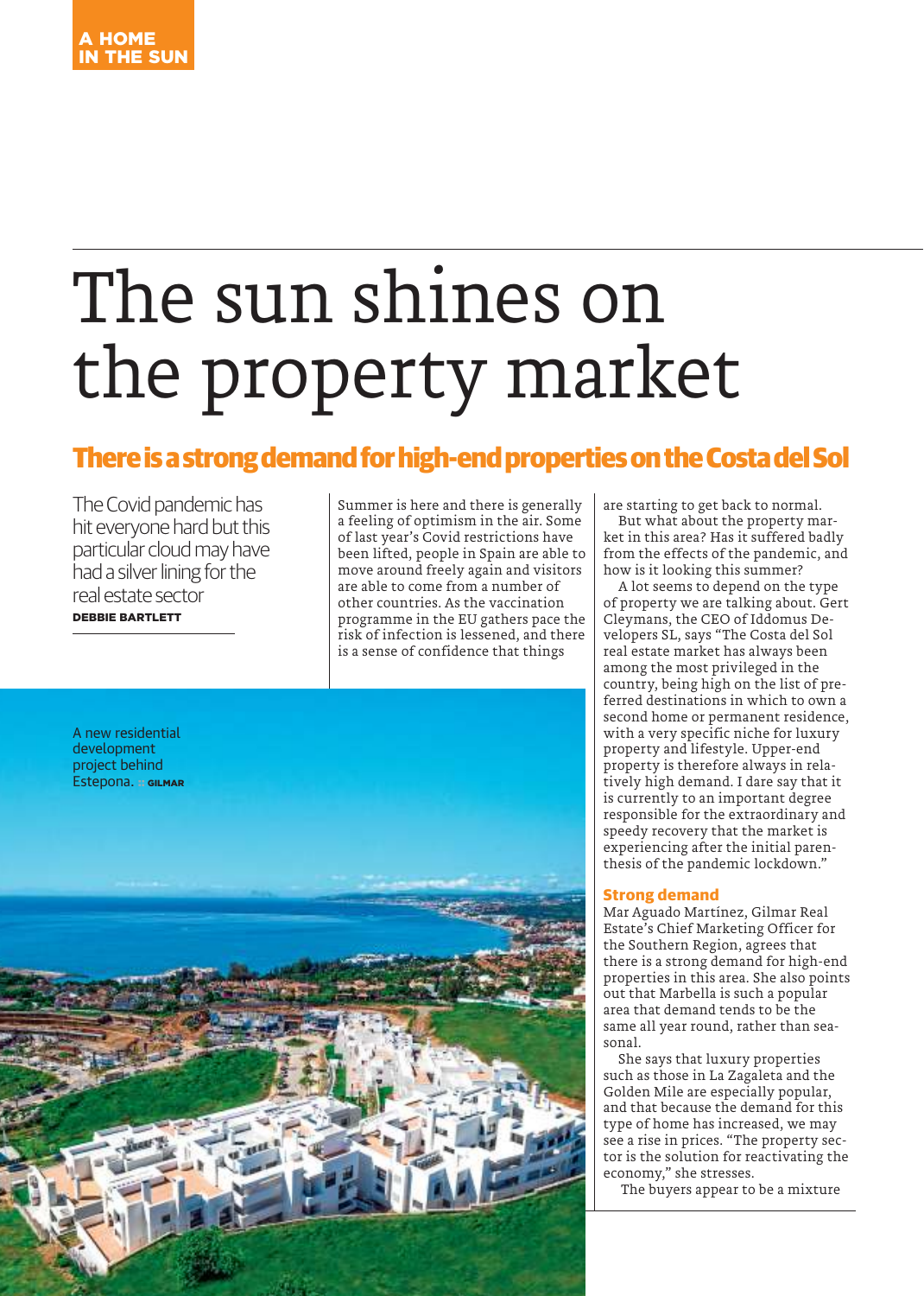# The sun shines on the property market

# **There is a strong demand for high-end properties on the Costa del Sol**

The Covid pandemic has hit everyone hard but this particular cloud may have had a silver lining for the real estate sector DEBBIE BARTLETT

Summer is here and there is generally a feeling of optimism in the air. Some of last year's Covid restrictions have been lifted, people in Spain are able to move around freely again and visitors are able to come from a number of other countries. As the vaccination programme in the EU gathers pace the risk of infection is lessened, and there is a sense of confidence that things



are starting to get back to normal.

But what about the property market in this area? Has it suffered badly from the effects of the pandemic, and how is it looking this summer?

A lot seems to depend on the type of property we are talking about. Gert Cleymans, the CEO of Iddomus Developers SL, says "The Costa del Sol real estate market has always been among the most privileged in the country, being high on the list of preferred destinations in which to own a second home or permanent residence, with a very specific niche for luxury property and lifestyle. Upper-end property is therefore always in relatively high demand. I dare say that it is currently to an important degree responsible for the extraordinary and speedy recovery that the market is experiencing after the initial parenthesis of the pandemic lockdown."

#### **Strong demand**

Mar Aguado Martínez, Gilmar Real Estate's Chief Marketing Officer for the Southern Region, agrees that there is a strong demand for high-end properties in this area. She also points out that Marbella is such a popular area that demand tends to be the same all year round, rather than seasonal.

She says that luxury properties such as those in La Zagaleta and the Golden Mile are especially popular, and that because the demand for this type of home has increased, we may see a rise in prices. "The property sector is the solution for reactivating the economy," she stresses.

The buyers appear to be a mixture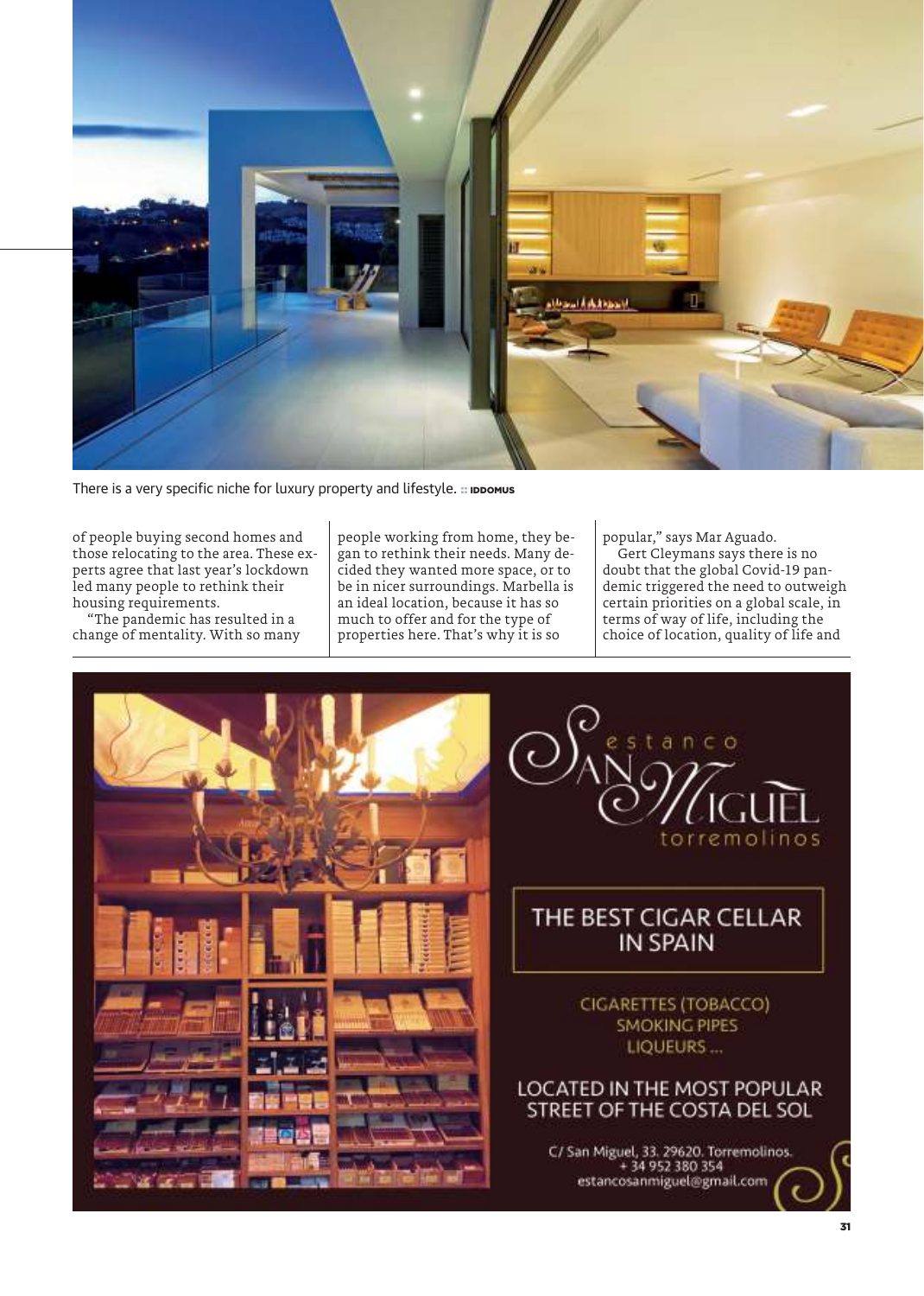

There is a very specific niche for luxury property and lifestyle. :: IDDOMUS

of people buying second homes and those relocating to the area. These experts agree that last year's lockdown led many people to rethink their housing requirements.

"The pandemic has resulted in a change of mentality. With so many people working from home, they began to rethink their needs. Many decided they wanted more space, or to be in nicer surroundings. Marbella is an ideal location, because it has so much to offer and for the type of properties here. That's why it is so

popular," says Mar Aguado.

Gert Cleymans says there is no doubt that the global Covid-19 pandemic triggered the need to outweigh certain priorities on a global scale, in terms of way of life, including the choice of location, quality of life and





## THE BEST CIGAR CELLAR **IN SPAIN**

CIGARETTES (TOBACCO) **SMOKING PIPES** LIQUEURS...

### LOCATED IN THE MOST POPULAR STREET OF THE COSTA DEL SOL

C/ San Miguel, 33. 29620. Torremolinos.<br>+ 34 952 380 354 estancosanmiguel@gmail.com